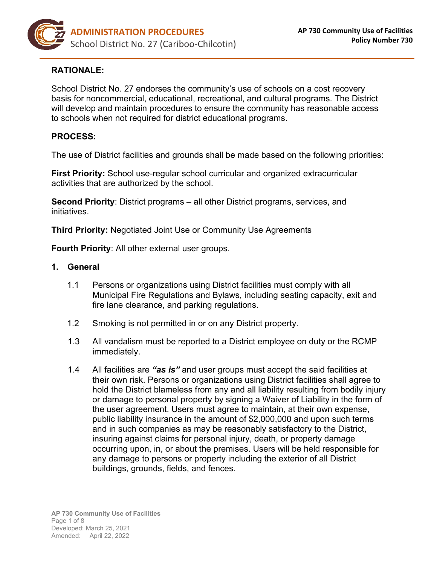

# **RATIONALE:**

School District No. 27 endorses the community's use of schools on a cost recovery basis for noncommercial, educational, recreational, and cultural programs. The District will develop and maintain procedures to ensure the community has reasonable access to schools when not required for district educational programs.

## **PROCESS:**

The use of District facilities and grounds shall be made based on the following priorities:

**First Priority:** School use-regular school curricular and organized extracurricular activities that are authorized by the school.

**Second Priority**: District programs – all other District programs, services, and initiatives.

**Third Priority:** Negotiated Joint Use or Community Use Agreements

**Fourth Priority**: All other external user groups.

#### **1. General**

- 1.1 Persons or organizations using District facilities must comply with all Municipal Fire Regulations and Bylaws, including seating capacity, exit and fire lane clearance, and parking regulations.
- 1.2 Smoking is not permitted in or on any District property.
- 1.3 All vandalism must be reported to a District employee on duty or the RCMP immediately.
- 1.4 All facilities are *"as is"* and user groups must accept the said facilities at their own risk. Persons or organizations using District facilities shall agree to hold the District blameless from any and all liability resulting from bodily injury or damage to personal property by signing a Waiver of Liability in the form of the user agreement. Users must agree to maintain, at their own expense, public liability insurance in the amount of \$2,000,000 and upon such terms and in such companies as may be reasonably satisfactory to the District, insuring against claims for personal injury, death, or property damage occurring upon, in, or about the premises. Users will be held responsible for any damage to persons or property including the exterior of all District buildings, grounds, fields, and fences.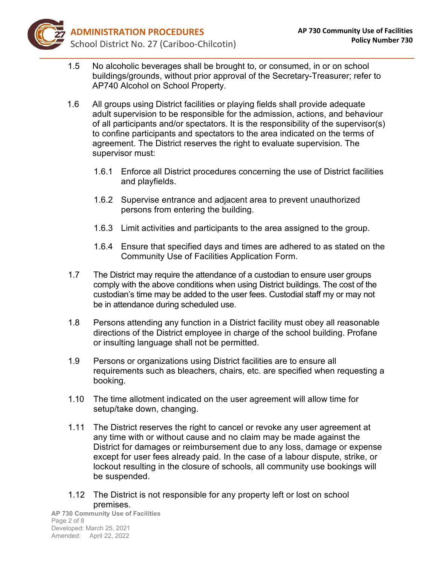

- 1.5 No alcoholic beverages shall be brought to, or consumed, in or on school buildings/grounds, without prior approval of the Secretary-Treasurer; refer to AP740 Alcohol on School Property.
- 1.6 All groups using District facilities or playing fields shall provide adequate adult supervision to be responsible for the admission, actions, and behaviour of all participants and/or spectators. It is the responsibility of the supervisor(s) to confine participants and spectators to the area indicated on the terms of agreement. The District reserves the right to evaluate supervision. The supervisor must:
	- 1.6.1 Enforce all District procedures concerning the use of District facilities and playfields.
	- 1.6.2 Supervise entrance and adjacent area to prevent unauthorized persons from entering the building.
	- 1.6.3 Limit activities and participants to the area assigned to the group.
	- 1.6.4 Ensure that specified days and times are adhered to as stated on the Community Use of Facilities Application Form.
- 1.7 The District may require the attendance of a custodian to ensure user groups comply with the above conditions when using District buildings. The cost of the custodian's time may be added to the user fees. Custodial staff my or may not be in attendance during scheduled use.
- 1.8 Persons attending any function in a District facility must obey all reasonable directions of the District employee in charge of the school building. Profane or insulting language shall not be permitted.
- 1.9 Persons or organizations using District facilities are to ensure all requirements such as bleachers, chairs, etc. are specified when requesting a booking.
- 1.10 The time allotment indicated on the user agreement will allow time for setup/take down, changing.
- 1.11 The District reserves the right to cancel or revoke any user agreement at any time with or without cause and no claim may be made against the District for damages or reimbursement due to any loss, damage or expense except for user fees already paid. In the case of a labour dispute, strike, or lockout resulting in the closure of schools, all community use bookings will be suspended.
- 1.12 The District is not responsible for any property left or lost on school premises.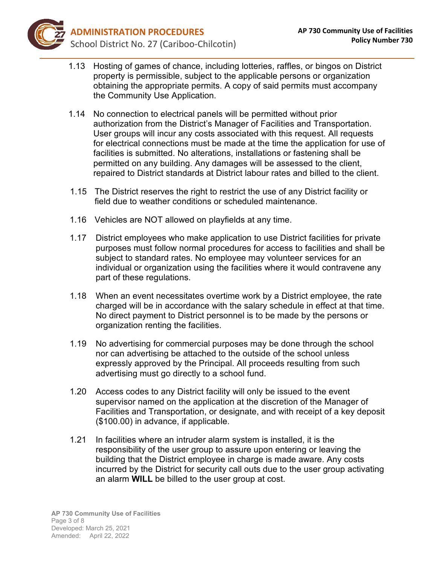

- 1.13 Hosting of games of chance, including lotteries, raffles, or bingos on District property is permissible, subject to the applicable persons or organization obtaining the appropriate permits. A copy of said permits must accompany the Community Use Application.
- 1.14 No connection to electrical panels will be permitted without prior authorization from the District's Manager of Facilities and Transportation. User groups will incur any costs associated with this request. All requests for electrical connections must be made at the time the application for use of facilities is submitted. No alterations, installations or fastening shall be permitted on any building. Any damages will be assessed to the client, repaired to District standards at District labour rates and billed to the client.
- 1.15 The District reserves the right to restrict the use of any District facility or field due to weather conditions or scheduled maintenance.
- 1.16 Vehicles are NOT allowed on playfields at any time.
- 1.17 District employees who make application to use District facilities for private purposes must follow normal procedures for access to facilities and shall be subject to standard rates. No employee may volunteer services for an individual or organization using the facilities where it would contravene any part of these regulations.
- 1.18 When an event necessitates overtime work by a District employee, the rate charged will be in accordance with the salary schedule in effect at that time. No direct payment to District personnel is to be made by the persons or organization renting the facilities.
- 1.19 No advertising for commercial purposes may be done through the school nor can advertising be attached to the outside of the school unless expressly approved by the Principal. All proceeds resulting from such advertising must go directly to a school fund.
- 1.20 Access codes to any District facility will only be issued to the event supervisor named on the application at the discretion of the Manager of Facilities and Transportation, or designate, and with receipt of a key deposit (\$100.00) in advance, if applicable.
- 1.21 In facilities where an intruder alarm system is installed, it is the responsibility of the user group to assure upon entering or leaving the building that the District employee in charge is made aware. Any costs incurred by the District for security call outs due to the user group activating an alarm **WILL** be billed to the user group at cost.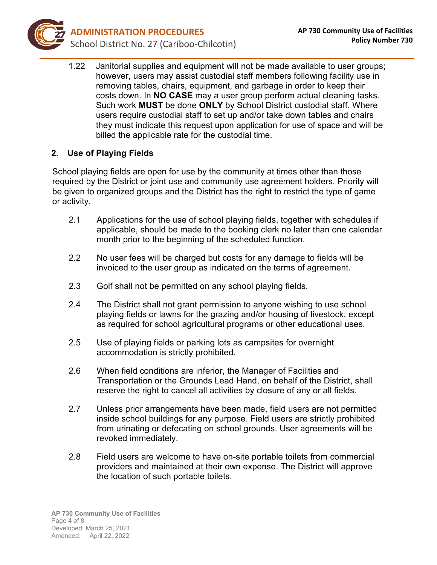

1.22 Janitorial supplies and equipment will not be made available to user groups; however, users may assist custodial staff members following facility use in removing tables, chairs, equipment, and garbage in order to keep their costs down. In **NO CASE** may a user group perform actual cleaning tasks. Such work **MUST** be done **ONLY** by School District custodial staff. Where users require custodial staff to set up and/or take down tables and chairs they must indicate this request upon application for use of space and will be billed the applicable rate for the custodial time.

## **2. Use of Playing Fields**

School playing fields are open for use by the community at times other than those required by the District or joint use and community use agreement holders. Priority will be given to organized groups and the District has the right to restrict the type of game or activity.

- 2.1 Applications for the use of school playing fields, together with schedules if applicable, should be made to the booking clerk no later than one calendar month prior to the beginning of the scheduled function.
- 2.2 No user fees will be charged but costs for any damage to fields will be invoiced to the user group as indicated on the terms of agreement.
- 2.3 Golf shall not be permitted on any school playing fields.
- 2.4 The District shall not grant permission to anyone wishing to use school playing fields or lawns for the grazing and/or housing of livestock, except as required for school agricultural programs or other educational uses.
- 2.5 Use of playing fields or parking lots as campsites for overnight accommodation is strictly prohibited.
- 2.6 When field conditions are inferior, the Manager of Facilities and Transportation or the Grounds Lead Hand, on behalf of the District, shall reserve the right to cancel all activities by closure of any or all fields.
- 2.7 Unless prior arrangements have been made, field users are not permitted inside school buildings for any purpose. Field users are strictly prohibited from urinating or defecating on school grounds. User agreements will be revoked immediately.
- 2.8 Field users are welcome to have on-site portable toilets from commercial providers and maintained at their own expense. The District will approve the location of such portable toilets.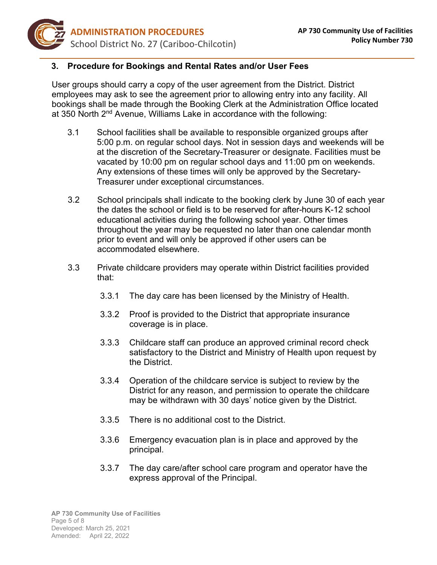

## **3. Procedure for Bookings and Rental Rates and/or User Fees**

User groups should carry a copy of the user agreement from the District. District employees may ask to see the agreement prior to allowing entry into any facility. All bookings shall be made through the Booking Clerk at the Administration Office located at 350 North 2<sup>nd</sup> Avenue, Williams Lake in accordance with the following:

- 3.1 School facilities shall be available to responsible organized groups after 5:00 p.m. on regular school days. Not in session days and weekends will be at the discretion of the Secretary-Treasurer or designate. Facilities must be vacated by 10:00 pm on regular school days and 11:00 pm on weekends. Any extensions of these times will only be approved by the Secretary-Treasurer under exceptional circumstances.
- 3.2 School principals shall indicate to the booking clerk by June 30 of each year the dates the school or field is to be reserved for after-hours K-12 school educational activities during the following school year. Other times throughout the year may be requested no later than one calendar month prior to event and will only be approved if other users can be accommodated elsewhere.
- 3.3 Private childcare providers may operate within District facilities provided that:
	- 3.3.1 The day care has been licensed by the Ministry of Health.
	- 3.3.2 Proof is provided to the District that appropriate insurance coverage is in place.
	- 3.3.3 Childcare staff can produce an approved criminal record check satisfactory to the District and Ministry of Health upon request by the District.
	- 3.3.4 Operation of the childcare service is subject to review by the District for any reason, and permission to operate the childcare may be withdrawn with 30 days' notice given by the District.
	- 3.3.5 There is no additional cost to the District.
	- 3.3.6 Emergency evacuation plan is in place and approved by the principal.
	- 3.3.7 The day care/after school care program and operator have the express approval of the Principal.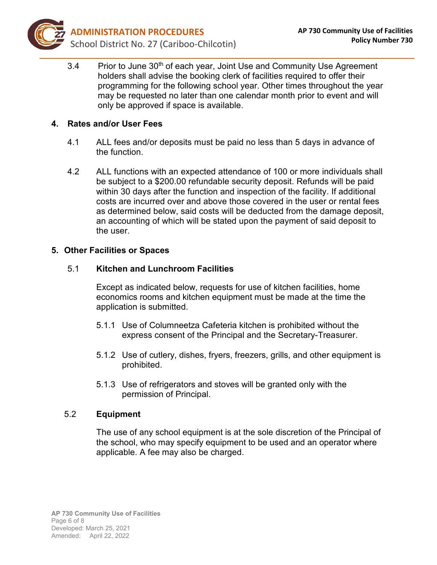

3.4 Prior to June 30<sup>th</sup> of each year, Joint Use and Community Use Agreement holders shall advise the booking clerk of facilities required to offer their programming for the following school year. Other times throughout the year may be requested no later than one calendar month prior to event and will only be approved if space is available.

## **4. Rates and/or User Fees**

- 4.1 ALL fees and/or deposits must be paid no less than 5 days in advance of the function.
- 4.2 ALL functions with an expected attendance of 100 or more individuals shall be subject to a \$200.00 refundable security deposit. Refunds will be paid within 30 days after the function and inspection of the facility. If additional costs are incurred over and above those covered in the user or rental fees as determined below, said costs will be deducted from the damage deposit, an accounting of which will be stated upon the payment of said deposit to the user.

#### **5. Other Facilities or Spaces**

#### 5.1 **Kitchen and Lunchroom Facilities**

Except as indicated below, requests for use of kitchen facilities, home economics rooms and kitchen equipment must be made at the time the application is submitted.

- 5.1.1 Use of Columneetza Cafeteria kitchen is prohibited without the express consent of the Principal and the Secretary-Treasurer.
- 5.1.2 Use of cutlery, dishes, fryers, freezers, grills, and other equipment is prohibited.
- 5.1.3 Use of refrigerators and stoves will be granted only with the permission of Principal.

#### 5.2 **Equipment**

The use of any school equipment is at the sole discretion of the Principal of the school, who may specify equipment to be used and an operator where applicable. A fee may also be charged.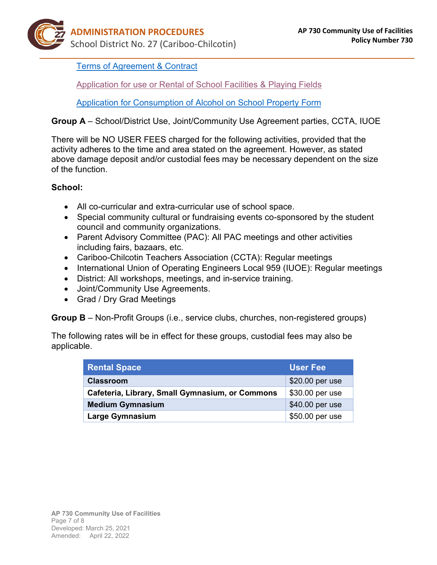[Terms of Agreement](https://sd27storage.blob.core.windows.net/media/Default/medialib/terms-of-agreement-contract-community-use.3e160a3709.pdf) & Contract

[Application for use or Rental of School Facilities & Playing Fields](https://sd27storage.blob.core.windows.net/media/Default/medialib/community-use-of-facilities-application-form.3eec734725.pdf)

[Application for Consumption of Alcohol on School Property](https://sd27storage.blob.core.windows.net/media/Default/medialib/apf_740_application-for-consumption-of-alcohol-on-school-property-form.7440323707.pdf) Form

# **Group A** – School/District Use, Joint/Community Use Agreement parties, CCTA, IUOE

There will be NO USER FEES charged for the following activities, provided that the activity adheres to the time and area stated on the agreement. However, as stated above damage deposit and/or custodial fees may be necessary dependent on the size of the function.

# **School:**

- All co-curricular and extra-curricular use of school space.
- Special community cultural or fundraising events co-sponsored by the student council and community organizations.
- Parent Advisory Committee (PAC): All PAC meetings and other activities including fairs, bazaars, etc.
- Cariboo-Chilcotin Teachers Association (CCTA): Regular meetings
- International Union of Operating Engineers Local 959 (IUOE): Regular meetings
- District: All workshops, meetings, and in-service training.
- Joint/Community Use Agreements.
- Grad / Dry Grad Meetings

**Group B** – Non-Profit Groups (i.e., service clubs, churches, non-registered groups)

The following rates will be in effect for these groups, custodial fees may also be applicable.

| <b>Rental Space</b>                             | <b>User Fee</b> |
|-------------------------------------------------|-----------------|
| <b>Classroom</b>                                | \$20.00 per use |
| Cafeteria, Library, Small Gymnasium, or Commons | \$30.00 per use |
| <b>Medium Gymnasium</b>                         | \$40.00 per use |
| <b>Large Gymnasium</b>                          | \$50.00 per use |